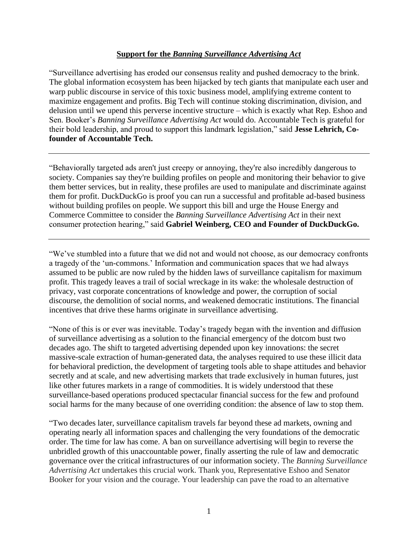## **Support for the** *Banning Surveillance Advertising Act*

"Surveillance advertising has eroded our consensus reality and pushed democracy to the brink. The global information ecosystem has been hijacked by tech giants that manipulate each user and warp public discourse in service of this toxic business model, amplifying extreme content to maximize engagement and profits. Big Tech will continue stoking discrimination, division, and delusion until we upend this perverse incentive structure – which is exactly what Rep. Eshoo and Sen. Booker's *Banning Surveillance Advertising Act* would do. Accountable Tech is grateful for their bold leadership, and proud to support this landmark legislation," said **Jesse Lehrich, Cofounder of Accountable Tech.**

"Behaviorally targeted ads aren't just creepy or annoying, they're also incredibly dangerous to society. Companies say they're building profiles on people and monitoring their behavior to give them better services, but in reality, these profiles are used to manipulate and discriminate against them for profit. DuckDuckGo is proof you can run a successful and profitable ad-based business without building profiles on people. We support this bill and urge the House Energy and Commerce Committee to consider the *Banning Surveillance Advertising Act* in their next consumer protection hearing," said **Gabriel Weinberg, CEO and Founder of DuckDuckGo.**

"We've stumbled into a future that we did not and would not choose, as our democracy confronts a tragedy of the 'un-commons.' Information and communication spaces that we had always assumed to be public are now ruled by the hidden laws of surveillance capitalism for maximum profit. This tragedy leaves a trail of social wreckage in its wake: the wholesale destruction of privacy, vast corporate concentrations of knowledge and power, the corruption of social discourse, the demolition of social norms, and weakened democratic institutions. The financial incentives that drive these harms originate in surveillance advertising.

"None of this is or ever was inevitable. Today's tragedy began with the invention and diffusion of surveillance advertising as a solution to the financial emergency of the dotcom bust two decades ago. The shift to targeted advertising depended upon key innovations: the secret massive-scale extraction of human-generated data, the analyses required to use these illicit data for behavioral prediction, the development of targeting tools able to shape attitudes and behavior secretly and at scale, and new advertising markets that trade exclusively in human futures, just like other futures markets in a range of commodities. It is widely understood that these surveillance-based operations produced spectacular financial success for the few and profound social harms for the many because of one overriding condition: the absence of law to stop them.

"Two decades later, surveillance capitalism travels far beyond these ad markets, owning and operating nearly all information spaces and challenging the very foundations of the democratic order. The time for law has come. A ban on surveillance advertising will begin to reverse the unbridled growth of this unaccountable power, finally asserting the rule of law and democratic governance over the critical infrastructures of our information society. The *Banning Surveillance Advertising Act* undertakes this crucial work. Thank you, Representative Eshoo and Senator Booker for your vision and the courage. Your leadership can pave the road to an alternative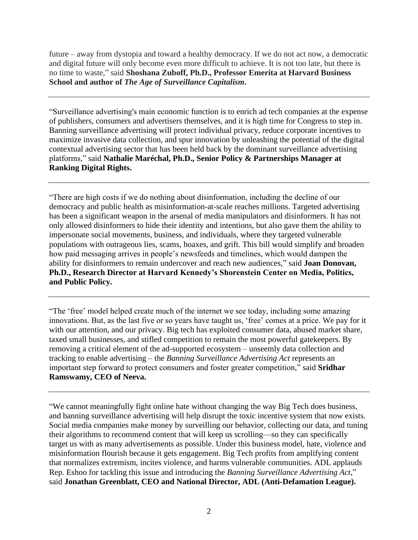future – away from dystopia and toward a healthy democracy. If we do not act now, a democratic and digital future will only become even more difficult to achieve. It is not too late, but there is no time to waste," said **Shoshana Zuboff, Ph.D., Professor Emerita at Harvard Business School and author of** *The Age of Surveillance Capitalism***.**

"Surveillance advertising's main economic function is to enrich ad tech companies at the expense of publishers, consumers and advertisers themselves, and it is high time for Congress to step in. Banning surveillance advertising will protect individual privacy, reduce corporate incentives to maximize invasive data collection, and spur innovation by unleashing the potential of the digital contextual advertising sector that has been held back by the dominant surveillance advertising platforms," said **Nathalie Maréchal, Ph.D., Senior Policy & Partnerships Manager at Ranking Digital Rights.**

"There are high costs if we do nothing about disinformation, including the decline of our democracy and public health as misinformation-at-scale reaches millions. Targeted advertising has been a significant weapon in the arsenal of media manipulators and disinformers. It has not only allowed disinformers to hide their identity and intentions, but also gave them the ability to impersonate social movements, business, and individuals, where they targeted vulnerable populations with outrageous lies, scams, hoaxes, and grift. This bill would simplify and broaden how paid messaging arrives in people's newsfeeds and timelines, which would dampen the ability for disinformers to remain undercover and reach new audiences," said **Joan Donovan, Ph.D., Research Director at Harvard Kennedy's Shorenstein Center on Media, Politics, and Public Policy.**

"The 'free' model helped create much of the internet we see today, including some amazing innovations. But, as the last five or so years have taught us, 'free' comes at a price. We pay for it with our attention, and our privacy. Big tech has exploited consumer data, abused market share, taxed small businesses, and stifled competition to remain the most powerful gatekeepers. By removing a critical element of the ad-supported ecosystem – unseemly data collection and tracking to enable advertising – the *Banning Surveillance Advertising Act* represents an important step forward to protect consumers and foster greater competition," said **Sridhar Ramswamy, CEO of Neeva.**

"We cannot meaningfully fight online hate without changing the way Big Tech does business, and banning surveillance advertising will help disrupt the toxic incentive system that now exists. Social media companies make money by surveilling our behavior, collecting our data, and tuning their algorithms to recommend content that will keep us scrolling—so they can specifically target us with as many advertisements as possible. Under this business model, hate, violence and misinformation flourish because it gets engagement. Big Tech profits from amplifying content that normalizes extremism, incites violence, and harms vulnerable communities. ADL applauds Rep. Eshoo for tackling this issue and introducing the *Banning Surveillance Advertising Act*," said **Jonathan Greenblatt, CEO and National Director, ADL (Anti-Defamation League).**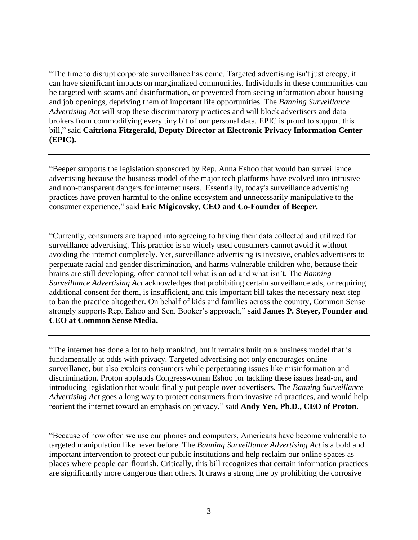"The time to disrupt corporate surveillance has come. Targeted advertising isn't just creepy, it can have significant impacts on marginalized communities. Individuals in these communities can be targeted with scams and disinformation, or prevented from seeing information about housing and job openings, depriving them of important life opportunities. The *Banning Surveillance Advertising Act* will stop these discriminatory practices and will block advertisers and data brokers from commodifying every tiny bit of our personal data. EPIC is proud to support this bill," said **Caitriona Fitzgerald, Deputy Director at Electronic Privacy Information Center (EPIC).**

"Beeper supports the legislation sponsored by Rep. Anna Eshoo that would ban surveillance advertising because the business model of the major tech platforms have evolved into intrusive and non-transparent dangers for internet users. Essentially, today's surveillance advertising practices have proven harmful to the online ecosystem and unnecessarily manipulative to the consumer experience," said **Eric Migicovsky, CEO and Co-Founder of Beeper.**

"Currently, consumers are trapped into agreeing to having their data collected and utilized for surveillance advertising. This practice is so widely used consumers cannot avoid it without avoiding the internet completely. Yet, surveillance advertising is invasive, enables advertisers to perpetuate racial and gender discrimination, and harms vulnerable children who, because their brains are still developing, often cannot tell what is an ad and what isn't. The *Banning Surveillance Advertising Act* acknowledges that prohibiting certain surveillance ads, or requiring additional consent for them, is insufficient, and this important bill takes the necessary next step to ban the practice altogether. On behalf of kids and families across the country, Common Sense strongly supports Rep. Eshoo and Sen. Booker's approach," said **James P. Steyer, Founder and CEO at Common Sense Media.**

"The internet has done a lot to help mankind, but it remains built on a business model that is fundamentally at odds with privacy. Targeted advertising not only encourages online surveillance, but also exploits consumers while perpetuating issues like misinformation and discrimination. Proton applauds Congresswoman Eshoo for tackling these issues head-on, and introducing legislation that would finally put people over advertisers. The *Banning Surveillance Advertising Act* goes a long way to protect consumers from invasive ad practices, and would help reorient the internet toward an emphasis on privacy," said **Andy Yen, Ph.D., CEO of Proton.**

"Because of how often we use our phones and computers, Americans have become vulnerable to targeted manipulation like never before. The *Banning Surveillance Advertising Act* is a bold and important intervention to protect our public institutions and help reclaim our online spaces as places where people can flourish. Critically, this bill recognizes that certain information practices are significantly more dangerous than others. It draws a strong line by prohibiting the corrosive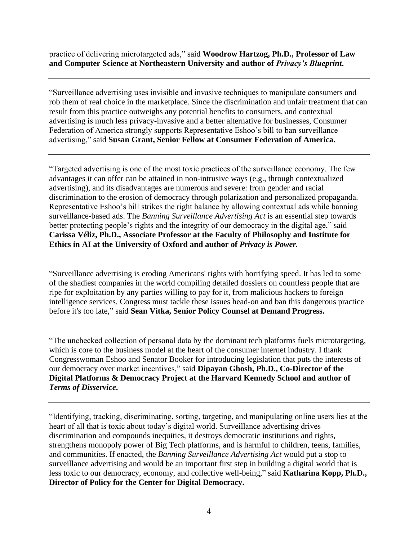practice of delivering microtargeted ads," said **Woodrow Hartzog, Ph.D., Professor of Law and Computer Science at Northeastern University and author of** *Privacy's Blueprint***.**

"Surveillance advertising uses invisible and invasive techniques to manipulate consumers and rob them of real choice in the marketplace. Since the discrimination and unfair treatment that can result from this practice outweighs any potential benefits to consumers, and contextual advertising is much less privacy-invasive and a better alternative for businesses, Consumer Federation of America strongly supports Representative Eshoo's bill to ban surveillance advertising," said **Susan Grant, Senior Fellow at Consumer Federation of America.**

"Targeted advertising is one of the most toxic practices of the surveillance economy. The few advantages it can offer can be attained in non-intrusive ways (e.g., through contextualized advertising), and its disadvantages are numerous and severe: from gender and racial discrimination to the erosion of democracy through polarization and personalized propaganda. Representative Eshoo's bill strikes the right balance by allowing contextual ads while banning surveillance-based ads. The *Banning Surveillance Advertising Act* is an essential step towards better protecting people's rights and the integrity of our democracy in the digital age," said **Carissa Véliz, Ph.D., Associate Professor at the Faculty of Philosophy and Institute for Ethics in AI at the University of Oxford and author of** *Privacy is Power.*

"Surveillance advertising is eroding Americans' rights with horrifying speed. It has led to some of the shadiest companies in the world compiling detailed dossiers on countless people that are ripe for exploitation by any parties willing to pay for it, from malicious hackers to foreign intelligence services. Congress must tackle these issues head-on and ban this dangerous practice before it's too late," said **Sean Vitka, Senior Policy Counsel at Demand Progress.**

"The unchecked collection of personal data by the dominant tech platforms fuels microtargeting, which is core to the business model at the heart of the consumer internet industry. I thank Congresswoman Eshoo and Senator Booker for introducing legislation that puts the interests of our democracy over market incentives," said **Dipayan Ghosh, Ph.D., Co-Director of the Digital Platforms & Democracy Project at the Harvard Kennedy School and author of**  *Terms of Disservice***.**

"Identifying, tracking, discriminating, sorting, targeting, and manipulating online users lies at the heart of all that is toxic about today's digital world. Surveillance advertising drives discrimination and compounds inequities, it destroys democratic institutions and rights, strengthens monopoly power of Big Tech platforms, and is harmful to children, teens, families, and communities. If enacted, the *Banning Surveillance Advertising Act* would put a stop to surveillance advertising and would be an important first step in building a digital world that is less toxic to our democracy, economy, and collective well-being," said **Katharina Kopp, Ph.D., Director of Policy for the Center for Digital Democracy.**